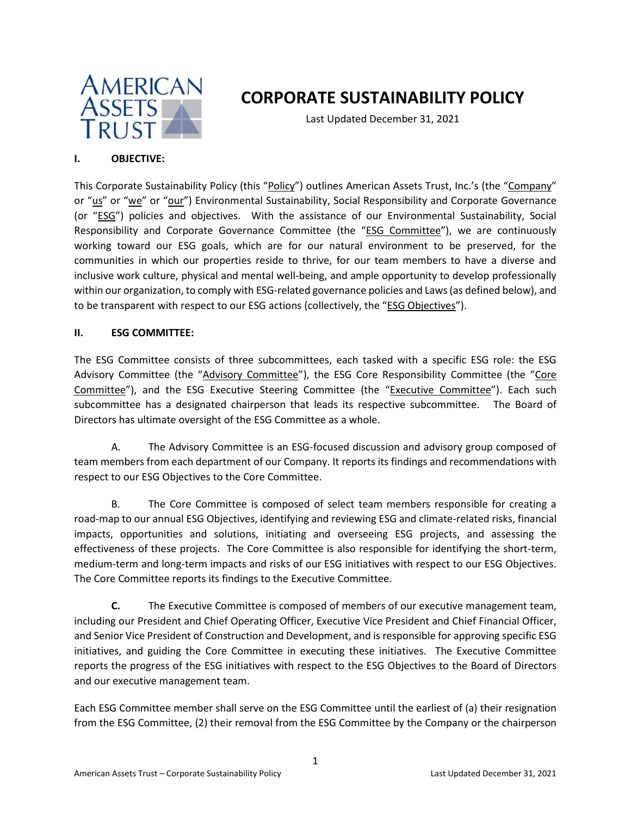

# **CORPORATE SUSTAINABILITY POLICY**

Last Updated December 31, 2021

# **I. OBJECTIVE:**

This Corporate Sustainability Policy (this "Policy") outlines American Assets Trust, Inc.'s (the "Company" or "us" or "we" or "our") Environmental Sustainability, Social Responsibility and Corporate Governance (or "ESG") policies and objectives. With the assistance of our Environmental Sustainability, Social Responsibility and Corporate Governance Committee (the "ESG Committee"), we are continuously working toward our ESG goals, which are for our natural environment to be preserved, for the communities in which our properties reside to thrive, for our team members to have a diverse and inclusive work culture, physical and mental well-being, and ample opportunity to develop professionally within our organization, to comply with ESG-related governance policies and Laws (as defined below), and to be transparent with respect to our ESG actions (collectively, the "ESG Objectives").

# **II. ESG COMMITTEE:**

The ESG Committee consists of three subcommittees, each tasked with a specific ESG role: the ESG Advisory Committee (the "Advisory Committee"), the ESG Core Responsibility Committee (the "Core Committee"), and the ESG Executive Steering Committee (the "Executive Committee"). Each such subcommittee has a designated chairperson that leads its respective subcommittee. The Board of Directors has ultimate oversight of the ESG Committee as a whole.

A. The Advisory Committee is an ESG-focused discussion and advisory group composed of team members from each department of our Company. It reports its findings and recommendations with respect to our ESG Objectives to the Core Committee.

B. The Core Committee is composed of select team members responsible for creating a road-map to our annual ESG Objectives, identifying and reviewing ESG and climate-related risks, financial impacts, opportunities and solutions, initiating and overseeing ESG projects, and assessing the effectiveness of these projects. The Core Committee is also responsible for identifying the short-term, medium-term and long-term impacts and risks of our ESG initiatives with respect to our ESG Objectives. The Core Committee reports its findings to the Executive Committee.

**C.** The Executive Committee is composed of members of our executive management team, including our President and Chief Operating Officer, Executive Vice President and Chief Financial Officer, and Senior Vice President of Construction and Development, and is responsible for approving specific ESG initiatives, and guiding the Core Committee in executing these initiatives. The Executive Committee reports the progress of the ESG initiatives with respect to the ESG Objectives to the Board of Directors and our executive management team.

Each ESG Committee member shall serve on the ESG Committee until the earliest of (a) their resignation from the ESG Committee, (2) their removal from the ESG Committee by the Company or the chairperson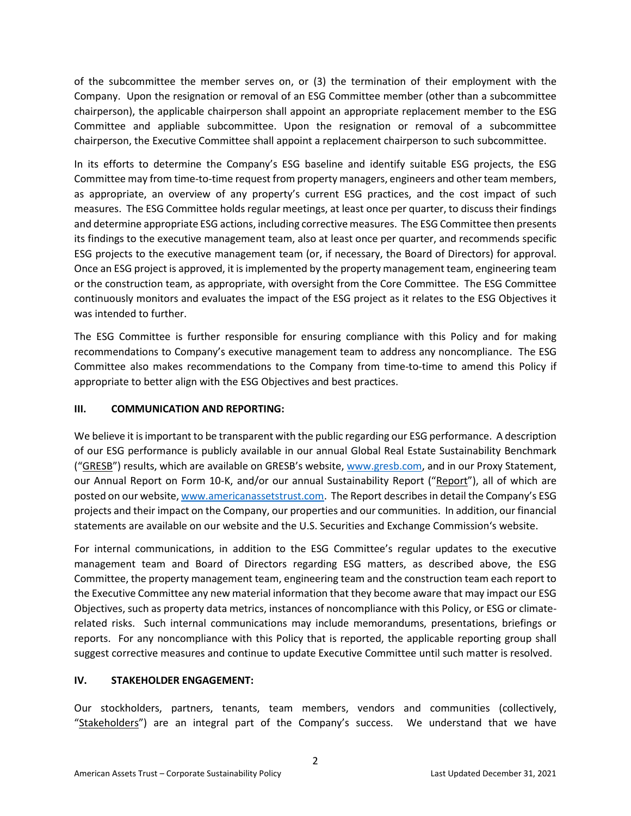of the subcommittee the member serves on, or (3) the termination of their employment with the Company. Upon the resignation or removal of an ESG Committee member (other than a subcommittee chairperson), the applicable chairperson shall appoint an appropriate replacement member to the ESG Committee and appliable subcommittee. Upon the resignation or removal of a subcommittee chairperson, the Executive Committee shall appoint a replacement chairperson to such subcommittee.

In its efforts to determine the Company's ESG baseline and identify suitable ESG projects, the ESG Committee may from time-to-time request from property managers, engineers and other team members, as appropriate, an overview of any property's current ESG practices, and the cost impact of such measures. The ESG Committee holds regular meetings, at least once per quarter, to discuss their findings and determine appropriate ESG actions, including corrective measures. The ESG Committee then presents its findings to the executive management team, also at least once per quarter, and recommends specific ESG projects to the executive management team (or, if necessary, the Board of Directors) for approval. Once an ESG project is approved, it is implemented by the property management team, engineering team or the construction team, as appropriate, with oversight from the Core Committee. The ESG Committee continuously monitors and evaluates the impact of the ESG project as it relates to the ESG Objectives it was intended to further.

The ESG Committee is further responsible for ensuring compliance with this Policy and for making recommendations to Company's executive management team to address any noncompliance. The ESG Committee also makes recommendations to the Company from time-to-time to amend this Policy if appropriate to better align with the ESG Objectives and best practices.

# **III. COMMUNICATION AND REPORTING:**

We believe it is important to be transparent with the public regarding our ESG performance. A description of our ESG performance is publicly available in our annual Global Real Estate Sustainability Benchmark ("GRESB") results, which are available on GRESB's website, [www.gresb.com,](http://www.gresb.com/) and in our Proxy Statement, our Annual Report on Form 10-K, and/or our annual Sustainability Report ("Report"), all of which are posted on our website, [www.americanassetstrust.com.](http://www.americanassetstrust.com/) The Report describesin detail the Company's ESG projects and their impact on the Company, our properties and our communities. In addition, our financial statements are available on our website and the U.S. Securities and Exchange Commission's website.

For internal communications, in addition to the ESG Committee's regular updates to the executive management team and Board of Directors regarding ESG matters, as described above, the ESG Committee, the property management team, engineering team and the construction team each report to the Executive Committee any new material information that they become aware that may impact our ESG Objectives, such as property data metrics, instances of noncompliance with this Policy, or ESG or climaterelated risks. Such internal communications may include memorandums, presentations, briefings or reports. For any noncompliance with this Policy that is reported, the applicable reporting group shall suggest corrective measures and continue to update Executive Committee until such matter is resolved.

## **IV. STAKEHOLDER ENGAGEMENT:**

Our stockholders, partners, tenants, team members, vendors and communities (collectively, "Stakeholders") are an integral part of the Company's success. We understand that we have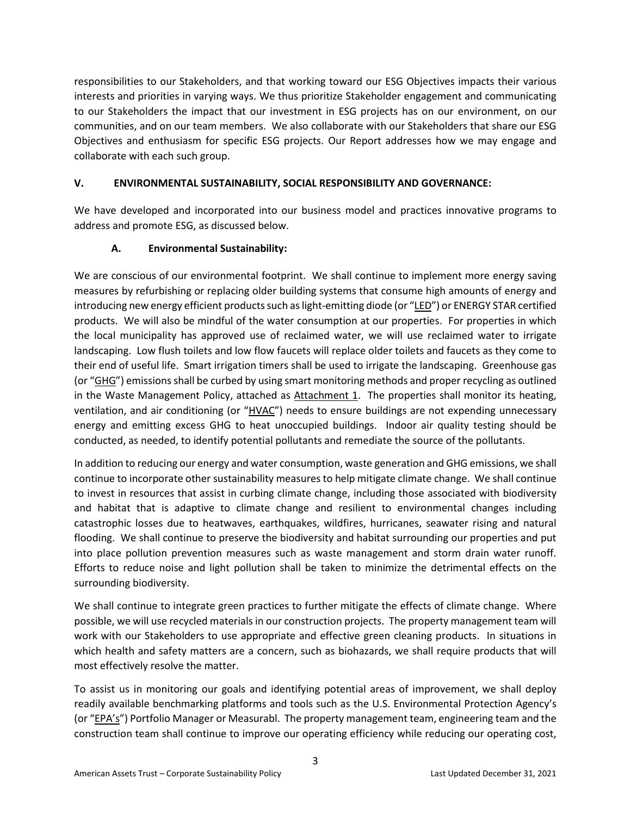responsibilities to our Stakeholders, and that working toward our ESG Objectives impacts their various interests and priorities in varying ways. We thus prioritize Stakeholder engagement and communicating to our Stakeholders the impact that our investment in ESG projects has on our environment, on our communities, and on our team members. We also collaborate with our Stakeholders that share our ESG Objectives and enthusiasm for specific ESG projects. Our Report addresses how we may engage and collaborate with each such group.

# **V. ENVIRONMENTAL SUSTAINABILITY, SOCIAL RESPONSIBILITY AND GOVERNANCE:**

We have developed and incorporated into our business model and practices innovative programs to address and promote ESG, as discussed below.

# **A. Environmental Sustainability:**

We are conscious of our environmental footprint. We shall continue to implement more energy saving measures by refurbishing or replacing older building systems that consume high amounts of energy and introducing new energy efficient products such as light-emitting diode (or "LED") or ENERGY STAR certified products. We will also be mindful of the water consumption at our properties. For properties in which the local municipality has approved use of reclaimed water, we will use reclaimed water to irrigate landscaping. Low flush toilets and low flow faucets will replace older toilets and faucets as they come to their end of useful life. Smart irrigation timers shall be used to irrigate the landscaping. Greenhouse gas (or "GHG") emissions shall be curbed by using smart monitoring methods and proper recycling as outlined in the Waste Management Policy, attached as Attachment 1. The properties shall monitor its heating, ventilation, and air conditioning (or "HVAC") needs to ensure buildings are not expending unnecessary energy and emitting excess GHG to heat unoccupied buildings. Indoor air quality testing should be conducted, as needed, to identify potential pollutants and remediate the source of the pollutants.

In addition to reducing our energy and water consumption, waste generation and GHG emissions, we shall continue to incorporate other sustainability measures to help mitigate climate change. We shall continue to invest in resources that assist in curbing climate change, including those associated with biodiversity and habitat that is adaptive to climate change and resilient to environmental changes including catastrophic losses due to heatwaves, earthquakes, wildfires, hurricanes, seawater rising and natural flooding. We shall continue to preserve the biodiversity and habitat surrounding our properties and put into place pollution prevention measures such as waste management and storm drain water runoff. Efforts to reduce noise and light pollution shall be taken to minimize the detrimental effects on the surrounding biodiversity.

We shall continue to integrate green practices to further mitigate the effects of climate change. Where possible, we will use recycled materials in our construction projects. The property management team will work with our Stakeholders to use appropriate and effective green cleaning products. In situations in which health and safety matters are a concern, such as biohazards, we shall require products that will most effectively resolve the matter.

To assist us in monitoring our goals and identifying potential areas of improvement, we shall deploy readily available benchmarking platforms and tools such as the U.S. Environmental Protection Agency's (or "EPA's") Portfolio Manager or Measurabl. The property management team, engineering team and the construction team shall continue to improve our operating efficiency while reducing our operating cost,

3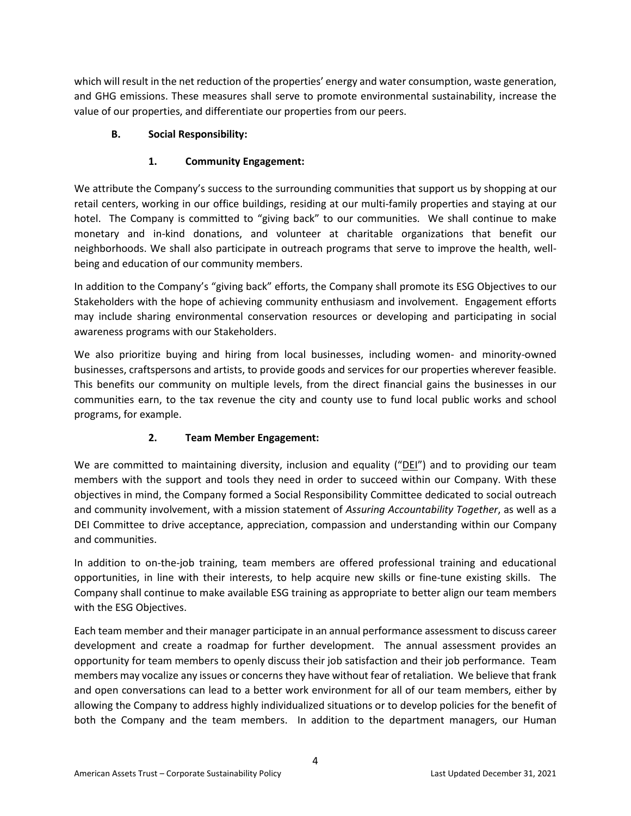which will result in the net reduction of the properties' energy and water consumption, waste generation, and GHG emissions. These measures shall serve to promote environmental sustainability, increase the value of our properties, and differentiate our properties from our peers.

# **B. Social Responsibility:**

# **1. Community Engagement:**

We attribute the Company's success to the surrounding communities that support us by shopping at our retail centers, working in our office buildings, residing at our multi-family properties and staying at our hotel. The Company is committed to "giving back" to our communities. We shall continue to make monetary and in-kind donations, and volunteer at charitable organizations that benefit our neighborhoods. We shall also participate in outreach programs that serve to improve the health, wellbeing and education of our community members.

In addition to the Company's "giving back" efforts, the Company shall promote its ESG Objectives to our Stakeholders with the hope of achieving community enthusiasm and involvement. Engagement efforts may include sharing environmental conservation resources or developing and participating in social awareness programs with our Stakeholders.

We also prioritize buying and hiring from local businesses, including women- and minority-owned businesses, craftspersons and artists, to provide goods and services for our properties wherever feasible. This benefits our community on multiple levels, from the direct financial gains the businesses in our communities earn, to the tax revenue the city and county use to fund local public works and school programs, for example.

# **2. Team Member Engagement:**

We are committed to maintaining diversity, inclusion and equality ("DEI") and to providing our team members with the support and tools they need in order to succeed within our Company. With these objectives in mind, the Company formed a Social Responsibility Committee dedicated to social outreach and community involvement, with a mission statement of *Assuring Accountability Together*, as well as a DEI Committee to drive acceptance, appreciation, compassion and understanding within our Company and communities.

In addition to on-the-job training, team members are offered professional training and educational opportunities, in line with their interests, to help acquire new skills or fine-tune existing skills. The Company shall continue to make available ESG training as appropriate to better align our team members with the ESG Objectives.

Each team member and their manager participate in an annual performance assessment to discuss career development and create a roadmap for further development. The annual assessment provides an opportunity for team members to openly discuss their job satisfaction and their job performance. Team members may vocalize any issues or concerns they have without fear of retaliation. We believe that frank and open conversations can lead to a better work environment for all of our team members, either by allowing the Company to address highly individualized situations or to develop policies for the benefit of both the Company and the team members. In addition to the department managers, our Human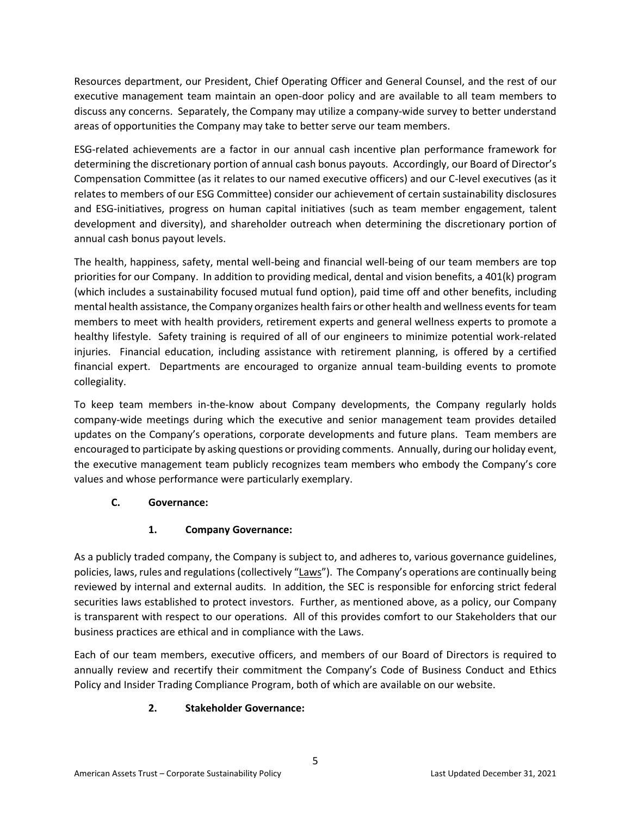Resources department, our President, Chief Operating Officer and General Counsel, and the rest of our executive management team maintain an open-door policy and are available to all team members to discuss any concerns. Separately, the Company may utilize a company-wide survey to better understand areas of opportunities the Company may take to better serve our team members.

ESG-related achievements are a factor in our annual cash incentive plan performance framework for determining the discretionary portion of annual cash bonus payouts. Accordingly, our Board of Director's Compensation Committee (as it relates to our named executive officers) and our C-level executives (as it relates to members of our ESG Committee) consider our achievement of certain sustainability disclosures and ESG-initiatives, progress on human capital initiatives (such as team member engagement, talent development and diversity), and shareholder outreach when determining the discretionary portion of annual cash bonus payout levels.

The health, happiness, safety, mental well-being and financial well-being of our team members are top priorities for our Company. In addition to providing medical, dental and vision benefits, a 401(k) program (which includes a sustainability focused mutual fund option), paid time off and other benefits, including mental health assistance, the Company organizes health fairs or other health and wellness events for team members to meet with health providers, retirement experts and general wellness experts to promote a healthy lifestyle. Safety training is required of all of our engineers to minimize potential work-related injuries. Financial education, including assistance with retirement planning, is offered by a certified financial expert. Departments are encouraged to organize annual team-building events to promote collegiality.

To keep team members in-the-know about Company developments, the Company regularly holds company-wide meetings during which the executive and senior management team provides detailed updates on the Company's operations, corporate developments and future plans. Team members are encouraged to participate by asking questions or providing comments. Annually, during our holiday event, the executive management team publicly recognizes team members who embody the Company's core values and whose performance were particularly exemplary.

# **C. Governance:**

# **1. Company Governance:**

As a publicly traded company, the Company is subject to, and adheres to, various governance guidelines, policies, laws, rules and regulations (collectively "Laws"). The Company's operations are continually being reviewed by internal and external audits. In addition, the SEC is responsible for enforcing strict federal securities laws established to protect investors. Further, as mentioned above, as a policy, our Company is transparent with respect to our operations. All of this provides comfort to our Stakeholders that our business practices are ethical and in compliance with the Laws.

Each of our team members, executive officers, and members of our Board of Directors is required to annually review and recertify their commitment the Company's Code of Business Conduct and Ethics Policy and Insider Trading Compliance Program, both of which are available on our website.

# **2. Stakeholder Governance:**

5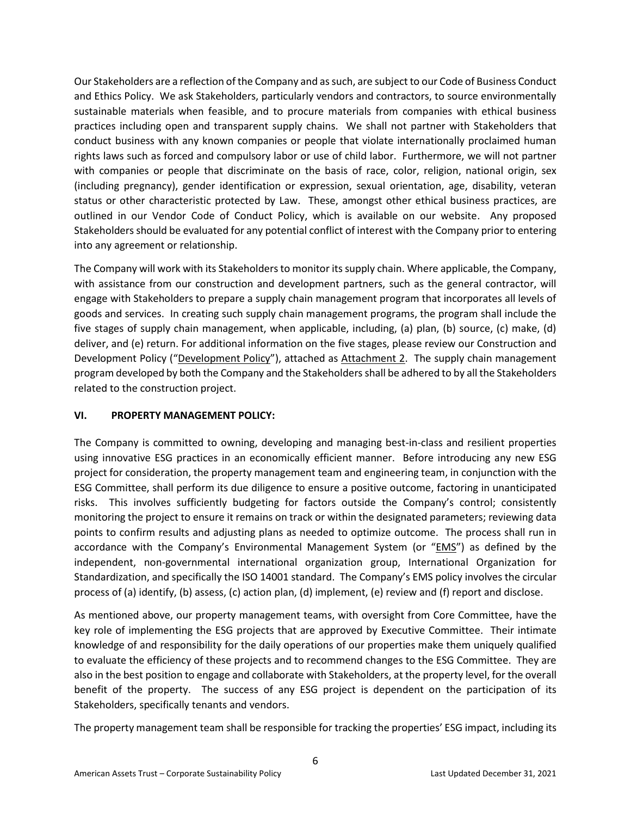Our Stakeholders are a reflection of the Company and as such, are subject to our Code of Business Conduct and Ethics Policy. We ask Stakeholders, particularly vendors and contractors, to source environmentally sustainable materials when feasible, and to procure materials from companies with ethical business practices including open and transparent supply chains. We shall not partner with Stakeholders that conduct business with any known companies or people that violate internationally proclaimed human rights laws such as forced and compulsory labor or use of child labor. Furthermore, we will not partner with companies or people that discriminate on the basis of race, color, religion, national origin, sex (including pregnancy), gender identification or expression, sexual orientation, age, disability, veteran status or other characteristic protected by Law. These, amongst other ethical business practices, are outlined in our Vendor Code of Conduct Policy, which is available on our website. Any proposed Stakeholders should be evaluated for any potential conflict of interest with the Company prior to entering into any agreement or relationship.

The Company will work with its Stakeholders to monitor its supply chain. Where applicable, the Company, with assistance from our construction and development partners, such as the general contractor, will engage with Stakeholders to prepare a supply chain management program that incorporates all levels of goods and services. In creating such supply chain management programs, the program shall include the five stages of supply chain management, when applicable, including, (a) plan, (b) source, (c) make, (d) deliver, and (e) return. For additional information on the five stages, please review our Construction and Development Policy ("Development Policy"), attached as Attachment 2. The supply chain management program developed by both the Company and the Stakeholders shall be adhered to by all the Stakeholders related to the construction project.

# **VI. PROPERTY MANAGEMENT POLICY:**

The Company is committed to owning, developing and managing best-in-class and resilient properties using innovative ESG practices in an economically efficient manner. Before introducing any new ESG project for consideration, the property management team and engineering team, in conjunction with the ESG Committee, shall perform its due diligence to ensure a positive outcome, factoring in unanticipated risks. This involves sufficiently budgeting for factors outside the Company's control; consistently monitoring the project to ensure it remains on track or within the designated parameters; reviewing data points to confirm results and adjusting plans as needed to optimize outcome. The process shall run in accordance with the Company's Environmental Management System (or "*EMS*") as defined by the independent, non-governmental international organization group, International Organization for Standardization, and specifically the ISO 14001 standard. The Company's EMS policy involves the circular process of (a) identify, (b) assess, (c) action plan, (d) implement, (e) review and (f) report and disclose.

As mentioned above, our property management teams, with oversight from Core Committee, have the key role of implementing the ESG projects that are approved by Executive Committee. Their intimate knowledge of and responsibility for the daily operations of our properties make them uniquely qualified to evaluate the efficiency of these projects and to recommend changes to the ESG Committee. They are also in the best position to engage and collaborate with Stakeholders, at the property level, for the overall benefit of the property. The success of any ESG project is dependent on the participation of its Stakeholders, specifically tenants and vendors.

The property management team shall be responsible for tracking the properties' ESG impact, including its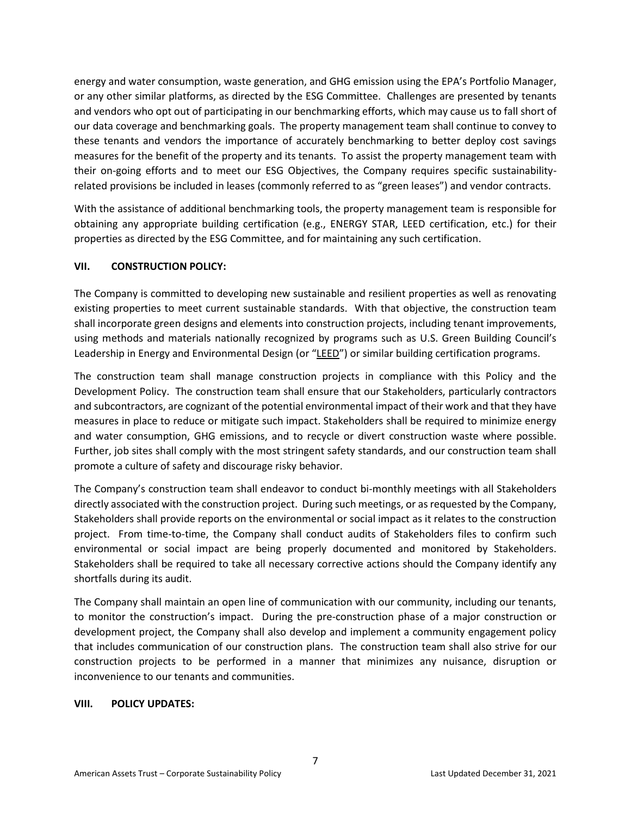energy and water consumption, waste generation, and GHG emission using the EPA's Portfolio Manager, or any other similar platforms, as directed by the ESG Committee. Challenges are presented by tenants and vendors who opt out of participating in our benchmarking efforts, which may cause us to fall short of our data coverage and benchmarking goals. The property management team shall continue to convey to these tenants and vendors the importance of accurately benchmarking to better deploy cost savings measures for the benefit of the property and its tenants. To assist the property management team with their on-going efforts and to meet our ESG Objectives, the Company requires specific sustainabilityrelated provisions be included in leases (commonly referred to as "green leases") and vendor contracts.

With the assistance of additional benchmarking tools, the property management team is responsible for obtaining any appropriate building certification (e.g., ENERGY STAR, LEED certification, etc.) for their properties as directed by the ESG Committee, and for maintaining any such certification.

# **VII. CONSTRUCTION POLICY:**

The Company is committed to developing new sustainable and resilient properties as well as renovating existing properties to meet current sustainable standards. With that objective, the construction team shall incorporate green designs and elements into construction projects, including tenant improvements, using methods and materials nationally recognized by programs such as U.S. Green Building Council's Leadership in Energy and Environmental Design (or "LEED") or similar building certification programs.

The construction team shall manage construction projects in compliance with this Policy and the Development Policy. The construction team shall ensure that our Stakeholders, particularly contractors and subcontractors, are cognizant of the potential environmental impact of their work and that they have measures in place to reduce or mitigate such impact. Stakeholders shall be required to minimize energy and water consumption, GHG emissions, and to recycle or divert construction waste where possible. Further, job sites shall comply with the most stringent safety standards, and our construction team shall promote a culture of safety and discourage risky behavior.

The Company's construction team shall endeavor to conduct bi-monthly meetings with all Stakeholders directly associated with the construction project. During such meetings, or as requested by the Company, Stakeholders shall provide reports on the environmental or social impact as it relates to the construction project. From time-to-time, the Company shall conduct audits of Stakeholders files to confirm such environmental or social impact are being properly documented and monitored by Stakeholders. Stakeholders shall be required to take all necessary corrective actions should the Company identify any shortfalls during its audit.

The Company shall maintain an open line of communication with our community, including our tenants, to monitor the construction's impact. During the pre-construction phase of a major construction or development project, the Company shall also develop and implement a community engagement policy that includes communication of our construction plans. The construction team shall also strive for our construction projects to be performed in a manner that minimizes any nuisance, disruption or inconvenience to our tenants and communities.

## **VIII. POLICY UPDATES:**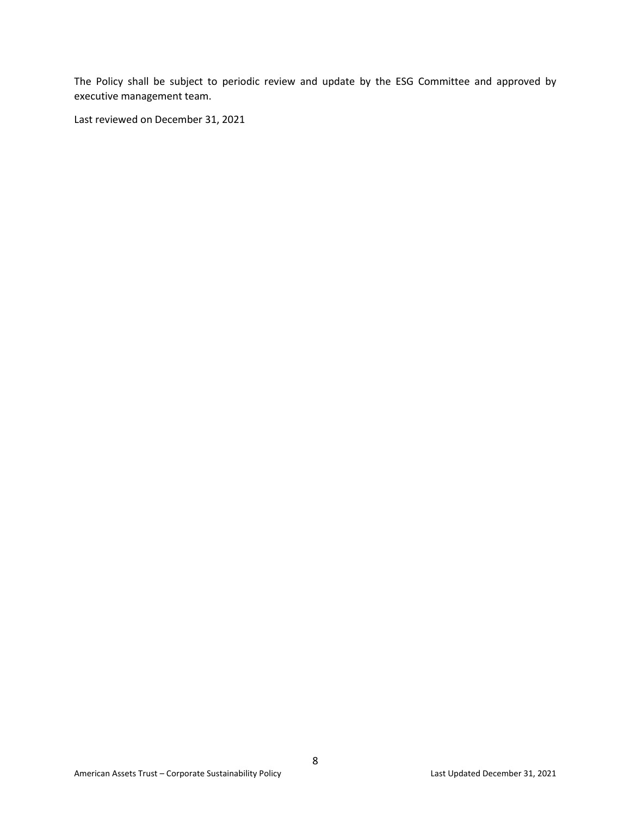The Policy shall be subject to periodic review and update by the ESG Committee and approved by executive management team.

Last reviewed on December 31, 2021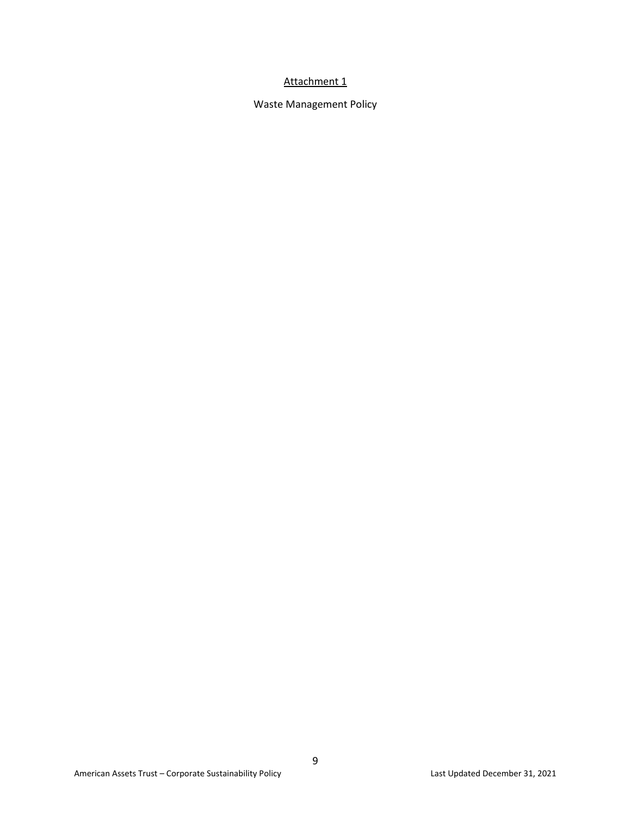# Attachment 1

Waste Management Policy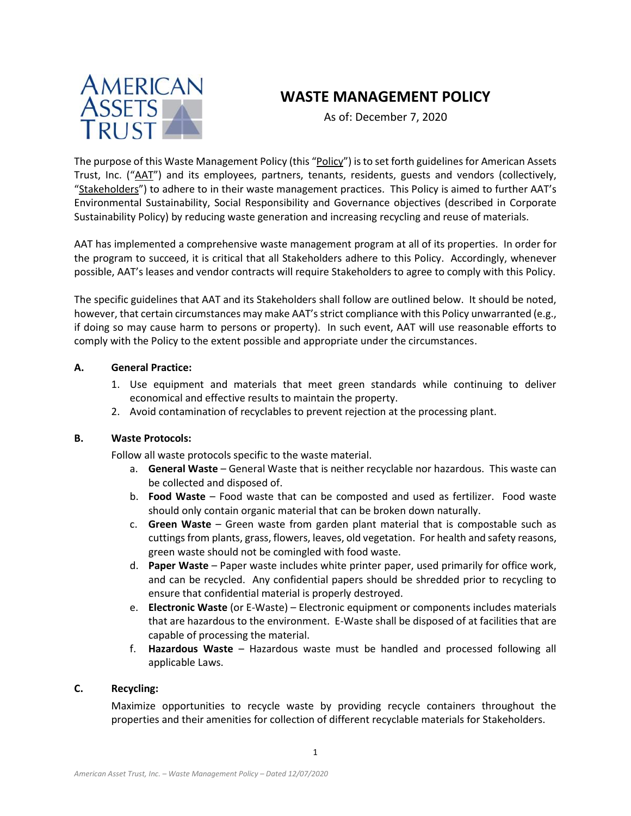

# **WASTE MANAGEMENT POLICY**

As of: December 7, 2020

The purpose of this Waste Management Policy (this "Policy") is to set forth guidelines for American Assets Trust, Inc. ("AAT") and its employees, partners, tenants, residents, guests and vendors (collectively, "Stakeholders") to adhere to in their waste management practices. This Policy is aimed to further AAT's Environmental Sustainability, Social Responsibility and Governance objectives (described in Corporate Sustainability Policy) by reducing waste generation and increasing recycling and reuse of materials.

AAT has implemented a comprehensive waste management program at all of its properties. In order for the program to succeed, it is critical that all Stakeholders adhere to this Policy. Accordingly, whenever possible, AAT's leases and vendor contracts will require Stakeholders to agree to comply with this Policy.

The specific guidelines that AAT and its Stakeholders shall follow are outlined below. It should be noted, however, that certain circumstances may make AAT's strict compliance with this Policy unwarranted (e.g., if doing so may cause harm to persons or property). In such event, AAT will use reasonable efforts to comply with the Policy to the extent possible and appropriate under the circumstances.

## **A. General Practice:**

- 1. Use equipment and materials that meet green standards while continuing to deliver economical and effective results to maintain the property.
- 2. Avoid contamination of recyclables to prevent rejection at the processing plant.

## **B. Waste Protocols:**

Follow all waste protocols specific to the waste material.

- a. **General Waste** General Waste that is neither recyclable nor hazardous. This waste can be collected and disposed of.
- b. **Food Waste** Food waste that can be composted and used as fertilizer. Food waste should only contain organic material that can be broken down naturally.
- c. **Green Waste** Green waste from garden plant material that is compostable such as cuttings from plants, grass, flowers, leaves, old vegetation. For health and safety reasons, green waste should not be comingled with food waste.
- d. **Paper Waste** Paper waste includes white printer paper, used primarily for office work, and can be recycled. Any confidential papers should be shredded prior to recycling to ensure that confidential material is properly destroyed.
- e. **Electronic Waste** (or E-Waste) Electronic equipment or components includes materials that are hazardous to the environment. E-Waste shall be disposed of at facilities that are capable of processing the material.
- f. **Hazardous Waste** Hazardous waste must be handled and processed following all applicable Laws.

## **C. Recycling:**

Maximize opportunities to recycle waste by providing recycle containers throughout the properties and their amenities for collection of different recyclable materials for Stakeholders.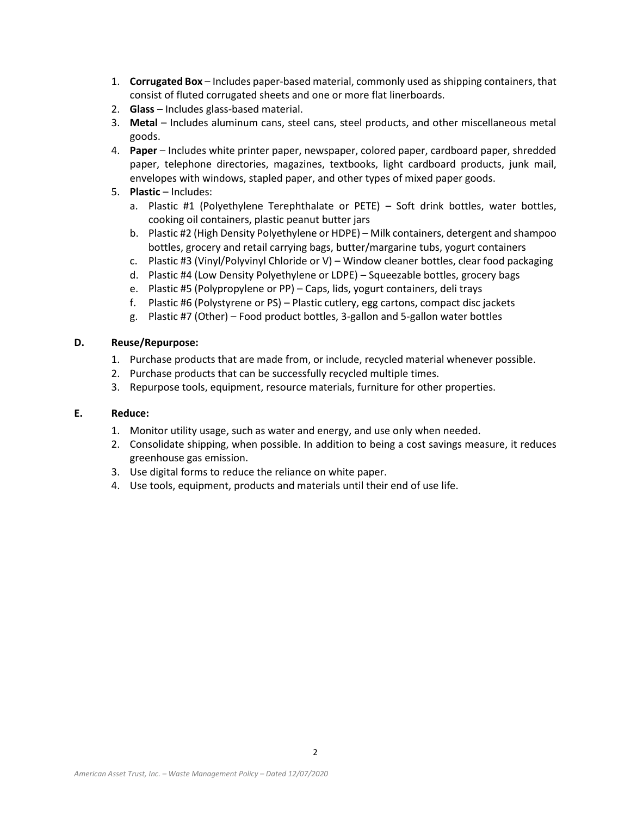- 1. **Corrugated Box** Includes paper-based material, commonly used as shipping containers, that consist of fluted corrugated sheets and one or more flat linerboards.
- 2. **Glass**  Includes glass-based material.
- 3. **Metal** Includes aluminum cans, steel cans, steel products, and other miscellaneous metal goods.
- 4. **Paper** Includes white printer paper, newspaper, colored paper, cardboard paper, shredded paper, telephone directories, magazines, textbooks, light cardboard products, junk mail, envelopes with windows, stapled paper, and other types of mixed paper goods.
- 5. **Plastic** Includes:
	- a. Plastic #1 (Polyethylene Terephthalate or PETE) Soft drink bottles, water bottles, cooking oil containers, plastic peanut butter jars
	- b. Plastic #2 (High Density Polyethylene or HDPE) Milk containers, detergent and shampoo bottles, grocery and retail carrying bags, butter/margarine tubs, yogurt containers
	- c. Plastic #3 (Vinyl/Polyvinyl Chloride or V) Window cleaner bottles, clear food packaging
	- d. Plastic #4 (Low Density Polyethylene or LDPE) Squeezable bottles, grocery bags
	- e. Plastic #5 (Polypropylene or PP) Caps, lids, yogurt containers, deli trays
	- f. Plastic #6 (Polystyrene or PS) Plastic cutlery, egg cartons, compact disc jackets
	- g. Plastic #7 (Other) Food product bottles, 3-gallon and 5-gallon water bottles

#### **D. Reuse/Repurpose:**

- 1. Purchase products that are made from, or include, recycled material whenever possible.
- 2. Purchase products that can be successfully recycled multiple times.
- 3. Repurpose tools, equipment, resource materials, furniture for other properties.

#### **E. Reduce:**

- 1. Monitor utility usage, such as water and energy, and use only when needed.
- 2. Consolidate shipping, when possible. In addition to being a cost savings measure, it reduces greenhouse gas emission.
- 3. Use digital forms to reduce the reliance on white paper.
- 4. Use tools, equipment, products and materials until their end of use life.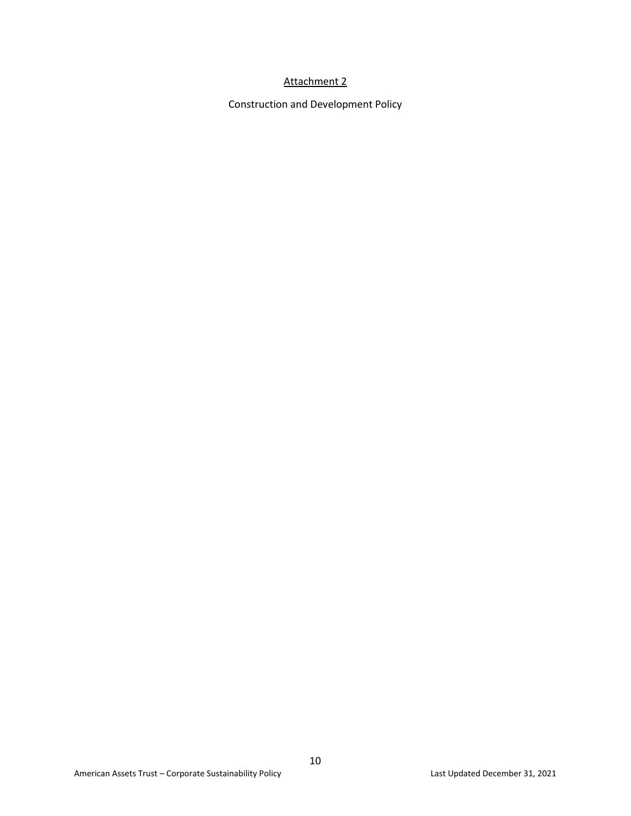# Attachment 2

Construction and Development Policy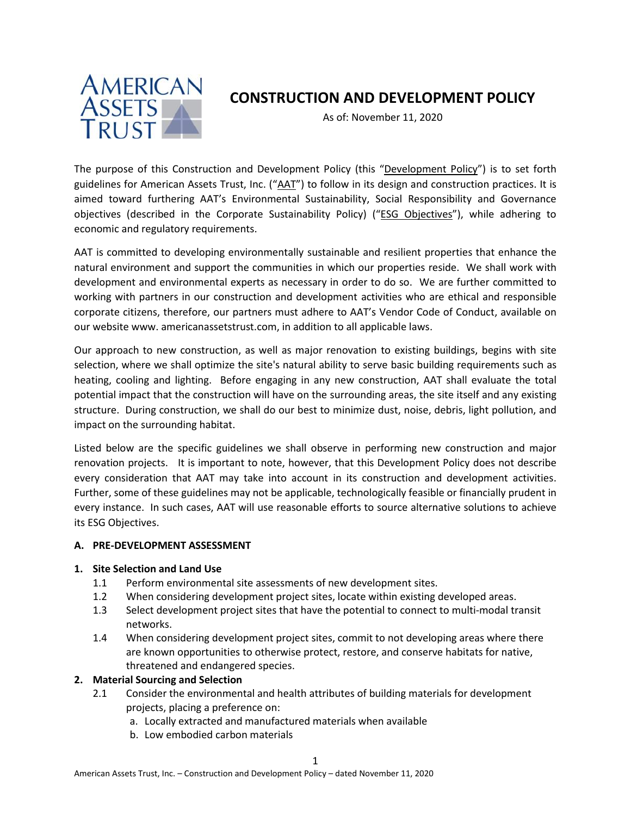

# **CONSTRUCTION AND DEVELOPMENT POLICY**

As of: November 11, 2020

The purpose of this Construction and Development Policy (this "Development Policy") is to set forth guidelines for American Assets Trust, Inc. ("AAT") to follow in its design and construction practices. It is aimed toward furthering AAT's Environmental Sustainability, Social Responsibility and Governance objectives (described in the Corporate Sustainability Policy) ("ESG Objectives"), while adhering to economic and regulatory requirements.

AAT is committed to developing environmentally sustainable and resilient properties that enhance the natural environment and support the communities in which our properties reside. We shall work with development and environmental experts as necessary in order to do so. We are further committed to working with partners in our construction and development activities who are ethical and responsible corporate citizens, therefore, our partners must adhere to AAT's Vendor Code of Conduct, available on our website www. americanassetstrust.com, in addition to all applicable laws.

Our approach to new construction, as well as major renovation to existing buildings, begins with site selection, where we shall optimize the site's natural ability to serve basic building requirements such as heating, cooling and lighting. Before engaging in any new construction, AAT shall evaluate the total potential impact that the construction will have on the surrounding areas, the site itself and any existing structure. During construction, we shall do our best to minimize dust, noise, debris, light pollution, and impact on the surrounding habitat.

Listed below are the specific guidelines we shall observe in performing new construction and major renovation projects. It is important to note, however, that this Development Policy does not describe every consideration that AAT may take into account in its construction and development activities. Further, some of these guidelines may not be applicable, technologically feasible or financially prudent in every instance. In such cases, AAT will use reasonable efforts to source alternative solutions to achieve its ESG Objectives.

## **A. PRE-DEVELOPMENT ASSESSMENT**

## **1. Site Selection and Land Use**

- 1.1 Perform environmental site assessments of new development sites.
- 1.2 When considering development project sites, locate within existing developed areas.
- 1.3 Select development project sites that have the potential to connect to multi-modal transit networks.
- 1.4 When considering development project sites, commit to not developing areas where there are known opportunities to otherwise protect, restore, and conserve habitats for native, threatened and endangered species.

## **2. Material Sourcing and Selection**

- 2.1 Consider the environmental and health attributes of building materials for development projects, placing a preference on:
	- a. Locally extracted and manufactured materials when available
	- b. Low embodied carbon materials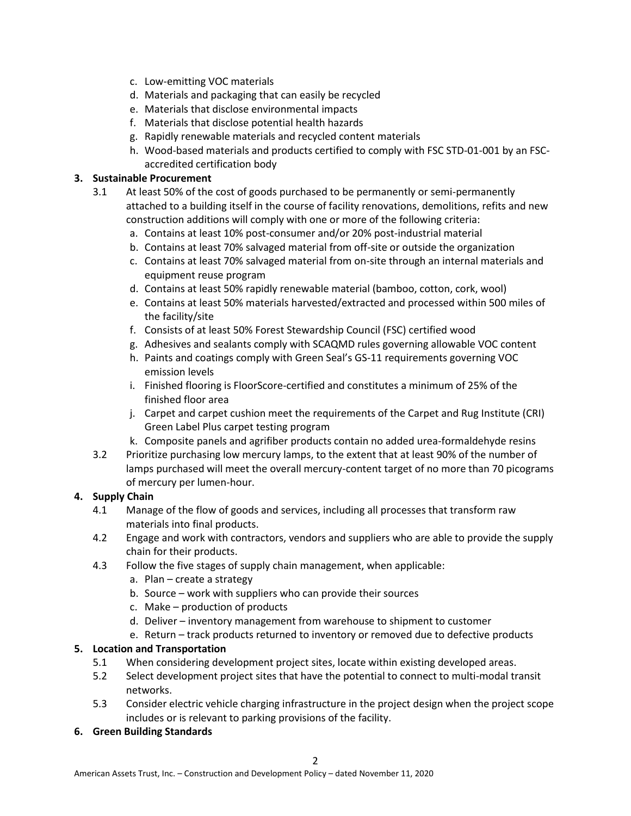- c. Low-emitting VOC materials
- d. Materials and packaging that can easily be recycled
- e. Materials that disclose environmental impacts
- f. Materials that disclose potential health hazards
- g. Rapidly renewable materials and recycled content materials
- h. Wood-based materials and products certified to comply with FSC STD-01-001 by an FSCaccredited certification body

# **3. Sustainable Procurement**

- 3.1 At least 50% of the cost of goods purchased to be permanently or semi-permanently attached to a building itself in the course of facility renovations, demolitions, refits and new construction additions will comply with one or more of the following criteria:
	- a. Contains at least 10% post-consumer and/or 20% post-industrial material
	- b. Contains at least 70% salvaged material from off-site or outside the organization
	- c. Contains at least 70% salvaged material from on-site through an internal materials and equipment reuse program
	- d. Contains at least 50% rapidly renewable material (bamboo, cotton, cork, wool)
	- e. Contains at least 50% materials harvested/extracted and processed within 500 miles of the facility/site
	- f. Consists of at least 50% Forest Stewardship Council (FSC) certified wood
	- g. Adhesives and sealants comply with SCAQMD rules governing allowable VOC content
	- h. Paints and coatings comply with Green Seal's GS-11 requirements governing VOC emission levels
	- i. Finished flooring is FloorScore-certified and constitutes a minimum of 25% of the finished floor area
	- j. Carpet and carpet cushion meet the requirements of the Carpet and Rug Institute (CRI) Green Label Plus carpet testing program
	- k. Composite panels and agrifiber products contain no added urea-formaldehyde resins
- 3.2 Prioritize purchasing low mercury lamps, to the extent that at least 90% of the number of lamps purchased will meet the overall mercury-content target of no more than 70 picograms of mercury per lumen-hour.

# **4. Supply Chain**

- 4.1 Manage of the flow of goods and services, including all processes that transform raw materials into final products.
- 4.2 Engage and work with contractors, vendors and suppliers who are able to provide the supply chain for their products.
- 4.3 Follow the five stages of supply chain management, when applicable:
	- a. Plan create a strategy
	- b. Source work with suppliers who can provide their sources
	- c. Make production of products
	- d. Deliver inventory management from warehouse to shipment to customer
	- e. Return track products returned to inventory or removed due to defective products

# **5. Location and Transportation**

- 5.1 When considering development project sites, locate within existing developed areas.
- 5.2 Select development project sites that have the potential to connect to multi-modal transit networks.
- 5.3 Consider electric vehicle charging infrastructure in the project design when the project scope includes or is relevant to parking provisions of the facility.

## **6. Green Building Standards**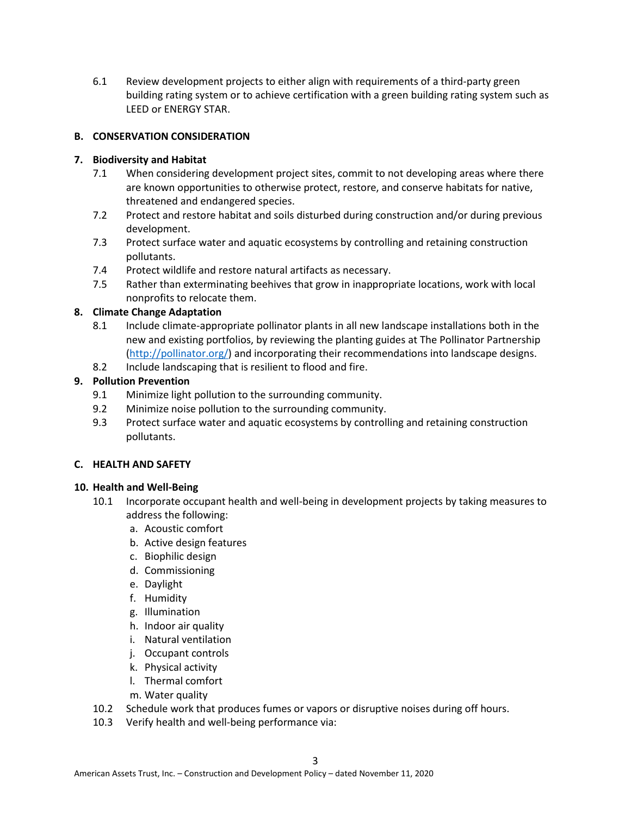6.1 Review development projects to either align with requirements of a third-party green building rating system or to achieve certification with a green building rating system such as LEED or ENERGY STAR.

# **B. CONSERVATION CONSIDERATION**

## **7. Biodiversity and Habitat**

- 7.1 When considering development project sites, commit to not developing areas where there are known opportunities to otherwise protect, restore, and conserve habitats for native, threatened and endangered species.
- 7.2 Protect and restore habitat and soils disturbed during construction and/or during previous development.
- 7.3 Protect surface water and aquatic ecosystems by controlling and retaining construction pollutants.
- 7.4 Protect wildlife and restore natural artifacts as necessary.
- 7.5 Rather than exterminating beehives that grow in inappropriate locations, work with local nonprofits to relocate them.

# **8. Climate Change Adaptation**

- 8.1 Include climate-appropriate pollinator plants in all new landscape installations both in the new and existing portfolios, by reviewing the planting guides at The Pollinator Partnership [\(http://pollinator.org/\)](http://pollinator.org/) and incorporating their recommendations into landscape designs.
- 8.2 Include landscaping that is resilient to flood and fire.

# **9. Pollution Prevention**

- 9.1 Minimize light pollution to the surrounding community.
- 9.2 Minimize noise pollution to the surrounding community.
- 9.3 Protect surface water and aquatic ecosystems by controlling and retaining construction pollutants.

## **C. HEALTH AND SAFETY**

## **10. Health and Well-Being**

- 10.1 Incorporate occupant health and well-being in development projects by taking measures to address the following:
	- a. Acoustic comfort
	- b. Active design features
	- c. Biophilic design
	- d. Commissioning
	- e. Daylight
	- f. Humidity
	- g. Illumination
	- h. Indoor air quality
	- i. Natural ventilation
	- j. Occupant controls
	- k. Physical activity
	- l. Thermal comfort
	- m. Water quality
- 10.2 Schedule work that produces fumes or vapors or disruptive noises during off hours.
- 10.3 Verify health and well-being performance via: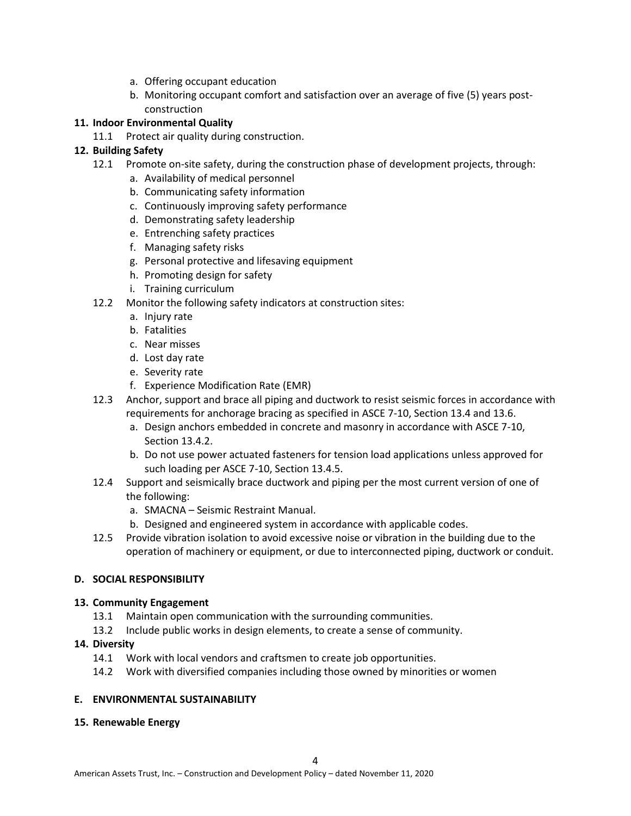- a. Offering occupant education
- b. Monitoring occupant comfort and satisfaction over an average of five (5) years postconstruction

## **11. Indoor Environmental Quality**

11.1 Protect air quality during construction.

# **12. Building Safety**

- 12.1 Promote on-site safety, during the construction phase of development projects, through:
	- a. Availability of medical personnel
	- b. Communicating safety information
	- c. Continuously improving safety performance
	- d. Demonstrating safety leadership
	- e. Entrenching safety practices
	- f. Managing safety risks
	- g. Personal protective and lifesaving equipment
	- h. Promoting design for safety
	- i. Training curriculum
- 12.2 Monitor the following safety indicators at construction sites:
	- a. Injury rate
	- b. Fatalities
	- c. Near misses
	- d. Lost day rate
	- e. Severity rate
	- f. Experience Modification Rate (EMR)
- 12.3 Anchor, support and brace all piping and ductwork to resist seismic forces in accordance with requirements for anchorage bracing as specified in ASCE 7-10, Section 13.4 and 13.6.
	- a. Design anchors embedded in concrete and masonry in accordance with ASCE 7-10, Section 13.4.2.
	- b. Do not use power actuated fasteners for tension load applications unless approved for such loading per ASCE 7-10, Section 13.4.5.
- 12.4 Support and seismically brace ductwork and piping per the most current version of one of the following:
	- a. SMACNA Seismic Restraint Manual.
	- b. Designed and engineered system in accordance with applicable codes.
- 12.5 Provide vibration isolation to avoid excessive noise or vibration in the building due to the operation of machinery or equipment, or due to interconnected piping, ductwork or conduit.

## **D. SOCIAL RESPONSIBILITY**

## **13. Community Engagement**

- 13.1 Maintain open communication with the surrounding communities.
- 13.2 Include public works in design elements, to create a sense of community.

## **14. Diversity**

- 14.1 Work with local vendors and craftsmen to create job opportunities.
- 14.2 Work with diversified companies including those owned by minorities or women

## **E. ENVIRONMENTAL SUSTAINABILITY**

## **15. Renewable Energy**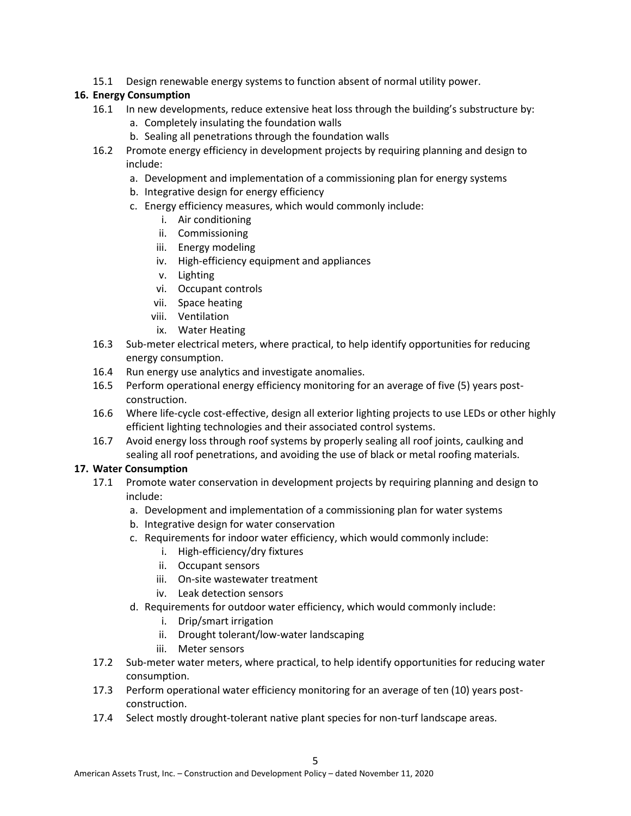15.1 Design renewable energy systems to function absent of normal utility power.

# **16. Energy Consumption**

- 16.1 In new developments, reduce extensive heat loss through the building's substructure by:
	- a. Completely insulating the foundation walls
	- b. Sealing all penetrations through the foundation walls
- 16.2 Promote energy efficiency in development projects by requiring planning and design to include:
	- a. Development and implementation of a commissioning plan for energy systems
	- b. Integrative design for energy efficiency
	- c. Energy efficiency measures, which would commonly include:
		- i. Air conditioning
		- ii. Commissioning
		- iii. Energy modeling
		- iv. High-efficiency equipment and appliances
		- v. Lighting
		- vi. Occupant controls
		- vii. Space heating
		- viii. Ventilation
		- ix. Water Heating
- 16.3 Sub-meter electrical meters, where practical, to help identify opportunities for reducing energy consumption.
- 16.4 Run energy use analytics and investigate anomalies.
- 16.5 Perform operational energy efficiency monitoring for an average of five (5) years postconstruction.
- 16.6 Where life-cycle cost-effective, design all exterior lighting projects to use LEDs or other highly efficient lighting technologies and their associated control systems.
- 16.7 Avoid energy loss through roof systems by properly sealing all roof joints, caulking and sealing all roof penetrations, and avoiding the use of black or metal roofing materials.

# **17. Water Consumption**

- 17.1 Promote water conservation in development projects by requiring planning and design to include:
	- a. Development and implementation of a commissioning plan for water systems
	- b. Integrative design for water conservation
	- c. Requirements for indoor water efficiency, which would commonly include:
		- i. High-efficiency/dry fixtures
		- ii. Occupant sensors
		- iii. On-site wastewater treatment
		- iv. Leak detection sensors
	- d. Requirements for outdoor water efficiency, which would commonly include:
		- i. Drip/smart irrigation
		- ii. Drought tolerant/low-water landscaping
		- iii. Meter sensors
- 17.2 Sub-meter water meters, where practical, to help identify opportunities for reducing water consumption.
- 17.3 Perform operational water efficiency monitoring for an average of ten (10) years postconstruction.
- 17.4 Select mostly drought-tolerant native plant species for non-turf landscape areas.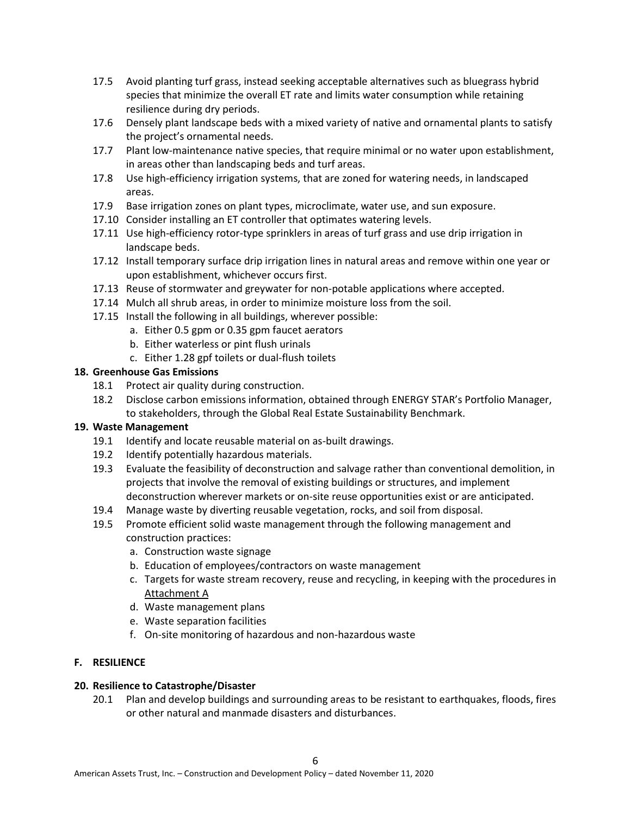- 17.5 Avoid planting turf grass, instead seeking acceptable alternatives such as bluegrass hybrid species that minimize the overall ET rate and limits water consumption while retaining resilience during dry periods.
- 17.6 Densely plant landscape beds with a mixed variety of native and ornamental plants to satisfy the project's ornamental needs.
- 17.7 Plant low-maintenance native species, that require minimal or no water upon establishment, in areas other than landscaping beds and turf areas.
- 17.8 Use high-efficiency irrigation systems, that are zoned for watering needs, in landscaped areas.
- 17.9 Base irrigation zones on plant types, microclimate, water use, and sun exposure.
- 17.10 Consider installing an ET controller that optimates watering levels.
- 17.11 Use high-efficiency rotor-type sprinklers in areas of turf grass and use drip irrigation in landscape beds.
- 17.12 Install temporary surface drip irrigation lines in natural areas and remove within one year or upon establishment, whichever occurs first.
- 17.13 Reuse of stormwater and greywater for non-potable applications where accepted.
- 17.14 Mulch all shrub areas, in order to minimize moisture loss from the soil.
- 17.15 Install the following in all buildings, wherever possible:
	- a. Either 0.5 gpm or 0.35 gpm faucet aerators
	- b. Either waterless or pint flush urinals
	- c. Either 1.28 gpf toilets or dual-flush toilets

## **18. Greenhouse Gas Emissions**

- 18.1 Protect air quality during construction.
- 18.2 Disclose carbon emissions information, obtained through ENERGY STAR's Portfolio Manager, to stakeholders, through the Global Real Estate Sustainability Benchmark.

# **19. Waste Management**

- 19.1 Identify and locate reusable material on as-built drawings.
- 19.2 Identify potentially hazardous materials.
- 19.3 Evaluate the feasibility of deconstruction and salvage rather than conventional demolition, in projects that involve the removal of existing buildings or structures, and implement deconstruction wherever markets or on-site reuse opportunities exist or are anticipated.
- 19.4 Manage waste by diverting reusable vegetation, rocks, and soil from disposal.
- 19.5 Promote efficient solid waste management through the following management and construction practices:
	- a. Construction waste signage
	- b. Education of employees/contractors on waste management
	- c. Targets for waste stream recovery, reuse and recycling, in keeping with the procedures in Attachment A
	- d. Waste management plans
	- e. Waste separation facilities
	- f. On-site monitoring of hazardous and non-hazardous waste

# **F. RESILIENCE**

## **20. Resilience to Catastrophe/Disaster**

20.1 Plan and develop buildings and surrounding areas to be resistant to earthquakes, floods, fires or other natural and manmade disasters and disturbances.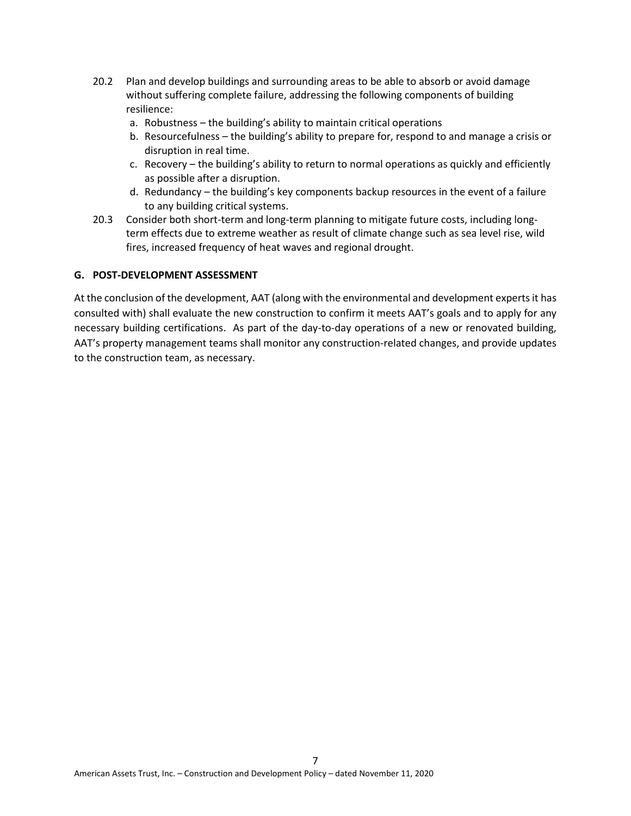- 20.2 Plan and develop buildings and surrounding areas to be able to absorb or avoid damage without suffering complete failure, addressing the following components of building resilience:
	- a. Robustness the building's ability to maintain critical operations
	- b. Resourcefulness the building's ability to prepare for, respond to and manage a crisis or disruption in real time.
	- c. Recovery the building's ability to return to normal operations as quickly and efficiently as possible after a disruption.
	- d. Redundancy the building's key components backup resources in the event of a failure to any building critical systems.
- 20.3 Consider both short-term and long-term planning to mitigate future costs, including longterm effects due to extreme weather as result of climate change such as sea level rise, wild fires, increased frequency of heat waves and regional drought.

# **G. POST-DEVELOPMENT ASSESSMENT**

At the conclusion of the development, AAT (along with the environmental and development experts it has consulted with) shall evaluate the new construction to confirm it meets AAT's goals and to apply for any necessary building certifications. As part of the day-to-day operations of a new or renovated building, AAT's property management teams shall monitor any construction-related changes, and provide updates to the construction team, as necessary.